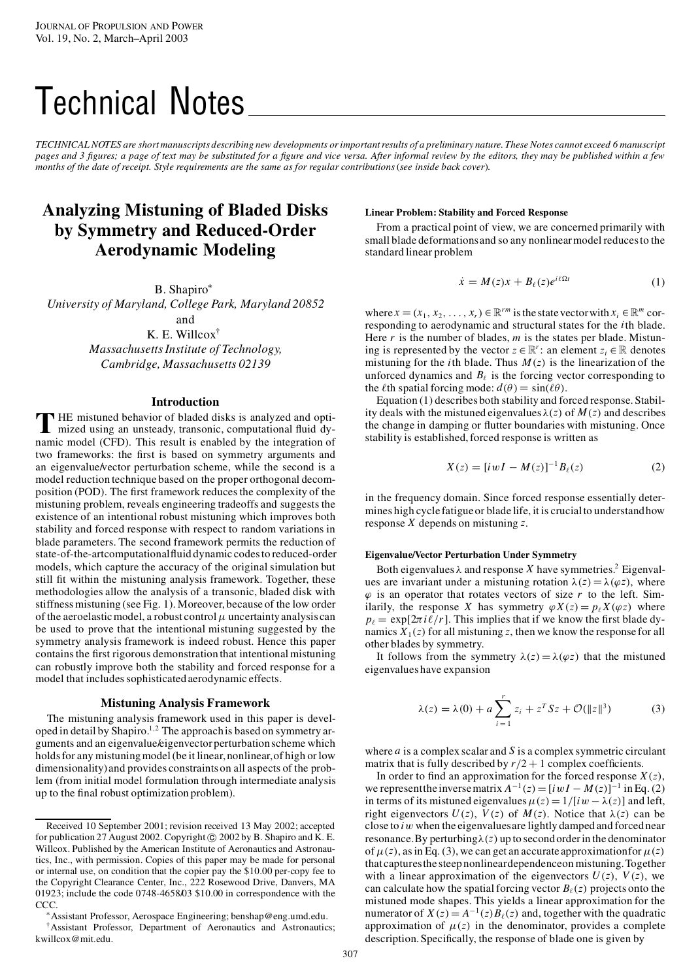# Technical Notes

TECHNICAL NOTES are short manuscripts describing new developments or important results of a preliminary nature. These Notes cannot exceed 6 manuscript pages and 3 figures; a page of text may be substituted for a figure and vice versa. After informal review by the editors, they may be published within a few months of the date of receipt. Style requirements are the same as for regular contributions (see inside back cover).

## **Analyzing Mistuning of Bladed Disks by Symmetry and Reduced-Order Aerodynamic Modeling**

B. Shapiro\*

*University of Maryland, College Park, Maryland 20852*

and

K. E. Willcox† *MassachusettsInstitute of Technology, Cambridge, Massachusetts 02139*

## **Introduction**

THE mistuned behavior of bladed disks is analyzed and optimized using an unsteady, transonic, computational fluid dymized using an unsteady, transonic, computational fluid dynamic model (CFD). This result is enabled by the integration of two frameworks: the first is based on symmetry arguments and an eigenvalue/vector perturbation scheme, while the second is a model reduction technique based on the proper orthogonal decomposition (POD). The first framework reduces the complexity of the mistuning problem, reveals engineering tradeoffs and suggests the existence of an intentional robust mistuning which improves both stability and forced response with respect to random variations in blade parameters. The second framework permits the reduction of state-of-the-artcomputational fluid dynamic codes to reduced-order models, which capture the accuracy of the original simulation but still fit within the mistuning analysis framework. Together, these methodologies allow the analysis of a transonic, bladed disk with stiffnessmistuning (see Fig. 1). Moreover, because of the low order of the aeroelastic model, a robust control  $\mu$  uncertainty analysis can be used to prove that the intentional mistuning suggested by the symmetry analysis framework is indeed robust. Hence this paper contains the first rigorous demonstration that intentional mistuning can robustly improve both the stability and forced response for a model that includes sophisticated aerodynamic effects.

## **Mistuning Analysis Framework**

The mistuning analysis framework used in this paper is developed in detail by Shapiro.<sup>1,2</sup> The approach is based on symmetry arguments and an eigenvalue/eigenvector perturbation scheme which holds for any mistuning model (be it linear, nonlinear, of high or low dimensionality)and provides constraints on all aspects of the problem (from initial model formulation through intermediate analysis up to the final robust optimization problem).

## **Linear Problem: Stability and Forced Response**

From a practical point of view, we are concerned primarily with small blade deformationsand so any nonlinearmodel reducesto the standard linear problem

$$
\dot{x} = M(z)x + B_{\ell}(z)e^{i\ell\Omega t} \tag{1}
$$

where  $x = (x_1, x_2, \dots, x_r) \in \mathbb{R}^r^m$  is the state vector with  $x_i \in \mathbb{R}^m$  corresponding to aerodynamic and structural states for the *i*th blade. Here  $r$  is the number of blades,  $m$  is the states per blade. Mistuning is represented by the vector  $z \in \mathbb{R}^r$ : an element  $z_i \in \mathbb{R}$  denotes mistuning for the *i*th blade. Thus  $M(z)$  is the linearization of the unforced dynamics and  $B_\ell$  is the forcing vector corresponding to the  $\ell$ th spatial forcing mode:  $d(\theta) = \sin(\ell\theta)$ .

Equation (1) describes both stability and forced response. Stability deals with the mistuned eigenvalues  $\lambda(z)$  of  $M(z)$  and describes the change in damping or flutter boundaries with mistuning. Once stability is established, forced response is written as

$$
X(z) = [i w I - M(z)]^{-1} B_{\ell}(z)
$$
 (2)

in the frequency domain. Since forced response essentially determines high cycle fatigueor blade life, it is crucialto understandhow response *X* depends on mistuning *z*.

## **Eigenvalue/Vector Perturbation Under Symmetry**

Both eigenvalues  $\lambda$  and response *X* have symmetries.<sup>2</sup> Eigenvalues are invariant under a mistuning rotation  $\lambda(z) = \lambda(\varphi z)$ , where  $\varphi$  is an operator that rotates vectors of size  $r$  to the left. Similarily, the response *X* has symmetry  $\varphi X(z) = p_{\ell} X(\varphi z)$  where  $p_{\ell} = \exp[2\pi i \ell/r]$ . This implies that if we know the first blade dynamics  $X_1(z)$  for all mistuning *z*, then we know the response for all other blades by symmetry.

It follows from the symmetry  $\lambda(z) = \lambda(\varphi z)$  that the mistuned eigenvalueshave expansion

$$
\lambda(z) = \lambda(0) + a \sum_{i=1}^{r} z_i + z^T S z + \mathcal{O}(\|z\|^3)
$$
 (3)

where *a* is a complex scalar and *S* is a complex symmetric circulant matrix that is fully described by  $r/2 + 1$  complex coefficients.

In order to find an approximation for the forced response  $X(z)$ , we represent the inverse matrix  $A^{-1}(z) = [i w I - M(z)]^{-1}$  in Eq. (2) in terms of its mistuned eigenvalues  $\mu(z) = 1/[iw - \lambda(z)]$  and left, right eigenvectors  $U(z)$ ,  $V(z)$  of  $M(z)$ . Notice that  $\lambda(z)$  can be close to *i*w when the eigenvaluesare lightly damped and forcednear resonance. By perturbing  $\lambda(z)$  up to second order in the denominator of  $\mu(z)$ , as in Eq. (3), we can get an accurate approximation for  $\mu(z)$ that capturesthe steep nonlineardependenceon mistuning.Together with a linear approximation of the eigenvectors  $U(z)$ ,  $V(z)$ , we can calculate how the spatial forcing vector  $B_\ell(z)$  projects onto the mistuned mode shapes. This yields a linear approximation for the numerator of  $X(z) = A^{-1}(z)B_{\ell}(z)$  and, together with the quadratic approximation of  $\mu(z)$  in the denominator, provides a complete description. Specifically, the response of blade one is given by

Received 10 September 2001; revision received 13 May 2002; accepted for publication 27 August 2002. Copyright  $©$  2002 by B. Shapiro and K. E. Willcox. Published by the American Institute of Aeronautics and Astronautics, Inc., with permission. Copies of this paper may be made for personal or internal use, on condition that the copier pay the \$10.00 per-copy fee to the Copyright Clearance Center, Inc., 222 Rosewood Drive, Danvers, MA 01923; include the code 0748-4658/03 \$10.00 in correspondence with the CCC.

<sup>¤</sup>Assistant Professor, Aerospace Engineering; benshap@eng.umd.edu. †Assistant Professor, Department of Aeronautics and Astronautics; kwillcox@mit.edu.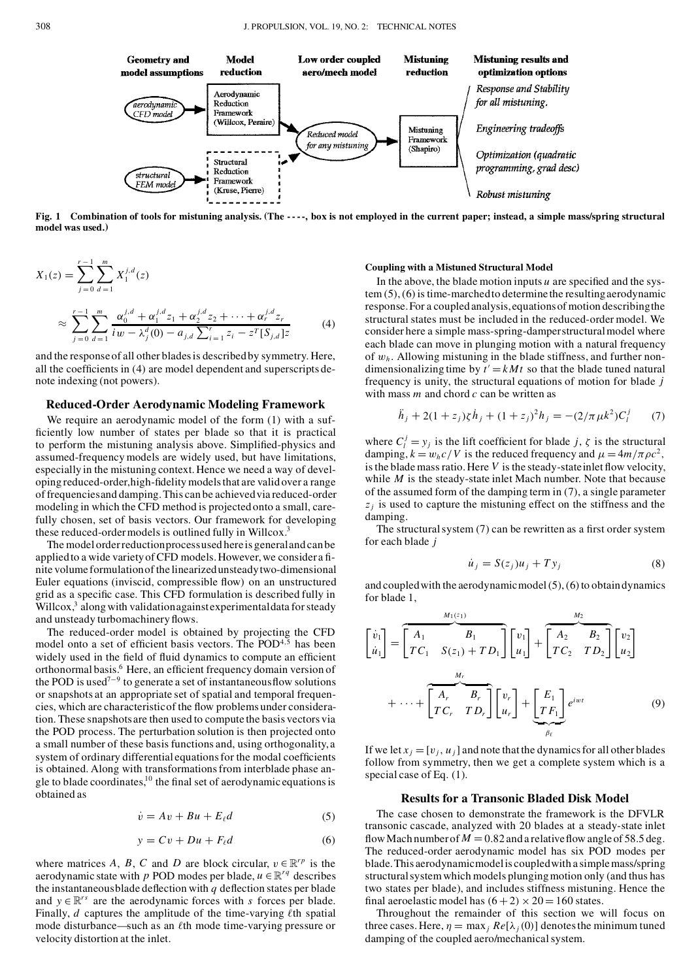

Fig. 1 Combination of tools for mistuning analysis. (The ----, box is not employed in the current paper; instead, a simple mass/spring structural **model was used.)**

$$
X_1(z) = \sum_{j=0}^{r-1} \sum_{d=1}^{m} X_1^{j,d}(z)
$$
  

$$
\approx \sum_{j=0}^{r-1} \sum_{d=1}^{m} \frac{\alpha_0^{j,d} + \alpha_1^{j,d} z_1 + \alpha_2^{j,d} z_2 + \dots + \alpha_r^{j,d} z_r}{i w - \lambda_j^d(0) - a_{j,d} \sum_{i=1}^r z_i - z^T [S_{j,d}] z}
$$
(4)

and the responseof all other bladesis describedby symmetry. Here, all the coefficients in  $(4)$  are model dependent and superscripts denote indexing (not powers).

## **Reduced-Order Aerodynamic Modeling Framework**

We require an aerodynamic model of the form (1) with a suf ficiently low number of states per blade so that it is practical to perform the mistuning analysis above. Simplified-physics and assumed-frequency models are widely used, but have limitations, especially in the mistuning context. Hence we need a way of developing reduced-order, high-fidelity models that are valid over a range of frequenciesand damping.This can be achievedvia reduced-order modeling in which the CFD method is projected onto a small, carefully chosen, set of basis vectors. Our framework for developing these reduced-order models is outlined fully in Willcox.<sup>3</sup>

The modelorderreductionprocessused here is generalandcan be applied to a wide variety of CFD models. However, we consider a finite volume formulationof the linearizedunsteadytwo-dimensional Euler equations (inviscid, compressible flow) on an unstructured grid as a specific case. This CFD formulation is described fully in Willcox, $3$  along with validation against experimental data for steady and unsteady turbomachinery flows.

The reduced-order model is obtained by projecting the CFD model onto a set of efficient basis vectors. The  $\text{POD}^{4,5}$  has been widely used in the field of fluid dynamics to compute an efficient orthonormal basis.<sup>6</sup> Here, an efficient frequency domain version of the POD is used<sup> $7-9$ </sup> to generate a set of instantaneous flow solutions or snapshots at an appropriate set of spatial and temporal frequencies, which are characteristic of the flow problems under consideration. These snapshots are then used to compute the basis vectors via the POD process. The perturbation solution is then projected onto a small number of these basis functions and, using orthogonality, a system of ordinary differential equations for the modal coefficients is obtained. Along with transformationsfrom interblade phase an gle to blade coordinates,<sup>10</sup> the final set of aerodynamic equations is obtained as

$$
\dot{v} = Av + Bu + E_{\ell}d\tag{5}
$$

$$
y = Cv + Du + F_{\ell}d \tag{6}
$$

where matrices *A*, *B*, *C* and *D* are block circular,  $v \in \mathbb{R}^{rp}$  is the aerodynamic state with *p* POD modes per blade,  $u \in \mathbb{R}^{rq}$  describes the instantaneous blade deflection with  $q$  deflection states per blade and  $y \in \mathbb{R}^{rs}$  are the aerodynamic forces with *s* forces per blade. Finally,  $d$  captures the amplitude of the time-varying  $\ell$ th spatial mode disturbance—such as an  $\ell$ th mode time-varying pressure or velocity distortion at the inlet.

#### **Coupling with a Mistuned Structural Model**

In the above, the blade motion inputs  $u$  are specified and the system (5),(6) is time-marchedto determine the resultingaerodynamic response.For a coupled analysis,equationsof motion describingthe structural states must be included in the reduced-order model. We consider here a simple mass-spring-damperstructuralmodel where each blade can move in plunging motion with a natural frequency of w*<sup>h</sup>* . Allowing mistuning in the blade stiffness, and further non dimensionalizing time by  $t' = kMt$  so that the blade tuned natural frequency is unity, the structural equations of motion for blade *j* with mass *m* and chord *c* can be written as

$$
\ddot{h}_j + 2(1+z_j)\zeta \dot{h}_j + (1+z_j)^2 h_j = -(2/\pi \mu k^2)C_l^j \qquad (7)
$$

where  $C_i^j = y_j$  is the lift coefficient for blade *j*,  $\zeta$  is the structural damping,  $k = w_h c/V$  is the reduced frequency and  $\mu = 4m/\pi \rho c^2$ , is the blade mass ratio. Here  $V$  is the steady-state inlet flow velocity, while *M* is the steady-state inlet Mach number. Note that because of the assumed form of the damping term in (7), a single parameter  $z_i$  is used to capture the mistuning effect on the stiffness and the damping.

The structural system  $(7)$  can be rewritten as a first order system for each blade *j*

$$
\dot{u}_j = S(z_j)u_j + Ty_j \tag{8}
$$

and coupled with the aerodynamic model $(5)$ ,  $(6)$  to obtaindynamics for blade 1,

$$
\begin{bmatrix} \dot{v}_1 \\ \dot{u}_1 \end{bmatrix} = \begin{bmatrix} A_1 & B_1 \\ T C_1 & S(z_1) + T D_1 \end{bmatrix} \begin{bmatrix} v_1 \\ u_1 \end{bmatrix} + \begin{bmatrix} A_2 & B_2 \\ T C_2 & T D_2 \end{bmatrix} \begin{bmatrix} v_2 \\ u_2 \end{bmatrix}
$$

$$
+ \cdots + \begin{bmatrix} A_r & B_r \\ T C_r & T D_r \end{bmatrix} \begin{bmatrix} v_r \\ u_r \end{bmatrix} + \underbrace{\begin{bmatrix} E_1 \\ T F_1 \end{bmatrix}}_{\beta_\ell} e^{iwt} \tag{9}
$$

If we let  $x_i = [v_i, u_j]$  and note that the dynamics for all other blades follow from symmetry, then we get a complete system which is a special case of Eq. (1).

## **Results for a Transonic Bladed Disk Model**

The case chosen to demonstrate the framework is the DFVLR transonic cascade, analyzed with 20 blades at a steady-state inlet flow Mach number of  $M = 0.82$  and a relative flow angle of 58.5 deg. The reduced-order aerodynamic model has six POD modes per blade.This aerodynamicmodelis coupledwith a simplemass/spring structuralsystemwhich models plungingmotion only (and thus has two states per blade), and includes stiffness mistuning. Hence the final aeroelastic model has  $(6 + 2) \times 20 = 160$  states.

Throughout the remainder of this section we will focus on three cases. Here,  $\eta = \max_{i} Re[\lambda_i(0)]$  denotes the minimum tuned damping of the coupled aero/mechanical system.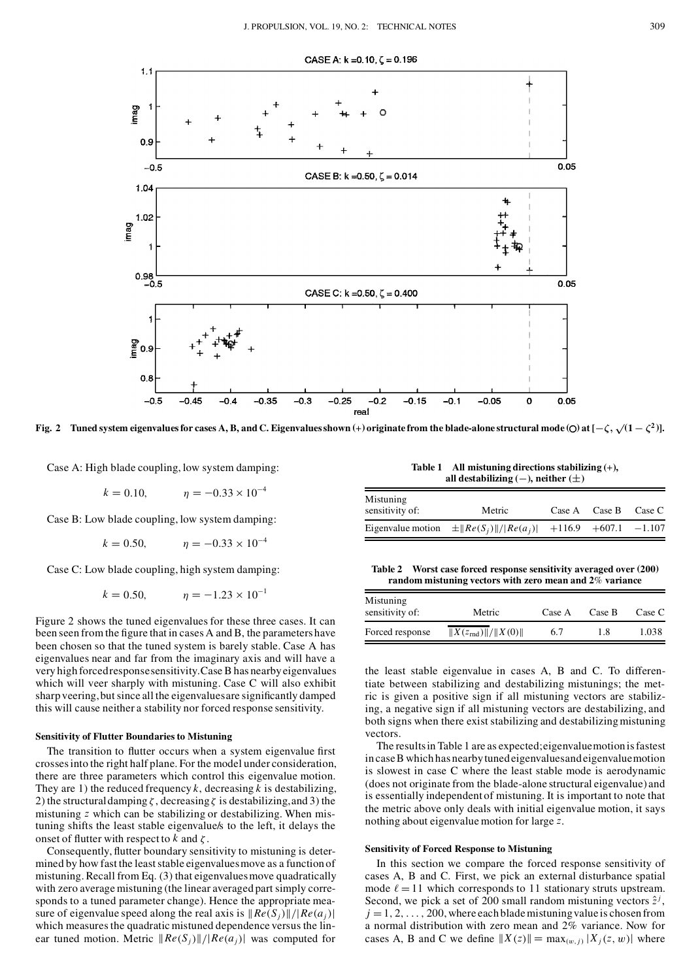

Fig. 2 Tuned system eigenvalues for cases A, B, and C. Eigenvalues shown  $(+)$  originate from the blade-alone structural mode (O) at  $[-\zeta, \sqrt{(1-\zeta^2)}]$ .

Case A: High blade coupling, low system damping:

 $k = 0.10,$   $n = -0.33 \times 10^{-4}$ 

Case B: Low blade coupling, low system damping:

 $k = 0.50,$   $\eta = -0.33 \times 10^{-4}$ 

Case C: Low blade coupling, high system damping:

$$
k = 0.50,
$$
  $\eta = -1.23 \times 10^{-1}$ 

Figure 2 shows the tuned eigenvalues for these three cases. It can been seen from the figure that in cases A and B, the parameters have been chosen so that the tuned system is barely stable. Case A has eigenvalues near and far from the imaginary axis and will have a very high forcedresponsesensitivity.CaseB has nearbyeigenvalues which will veer sharply with mistuning. Case C will also exhibit sharp veering, but since all the eigenvalues are significantly damped this will cause neither a stability nor forced response sensitivity.

#### **Sensitivity of Flutter Boundaries to Mistuning**

The transition to flutter occurs when a system eigenvalue first crossesinto the right half plane. For the model under consideration, there are three parameters which control this eigenvalue motion. They are 1) the reduced frequency  $k$ , decreasing  $k$  is destabilizing, 2) the structural damping  $\zeta$ , decreasing  $\zeta$  is destabilizing, and 3) the mistuning *z* which can be stabilizing or destabilizing. When mistuning shifts the least stable eigenvalue/s to the left, it delays the onset of flutter with respect to  $k$  and  $\zeta$ .

Consequently, flutter boundary sensitivity to mistuning is determined by how fast the leaststable eigenvaluesmove as a function of mistuning. Recall from Eq. (3) that eigenvalues move quadratically with zero average mistuning (the linear averaged part simply corre sponds to a tuned parameter change). Hence the appropriate mea sure of eigenvalue speed along the real axis is  $\frac{R}{e(S_i)}\frac{f(R_i(s))}{f(R_i(s))}$ which measures the quadratic mistuned dependence versus the linear tuned motion. Metric  $\|Re(S_i)\|/|Re(a_i)|$  was computed for

**Table 1 All mistuning directions stabilizing (**+**), all destabilizing**  $(-)$ , **neither**  $(\pm)$ 

| Mistuning<br>sensitivity of: | Metric                      | Case A | Case B                     | Case C |
|------------------------------|-----------------------------|--------|----------------------------|--------|
| Eigenvalue motion            | $\pm \ Re(S_i)\ / Re(a_i) $ |        | $+116.9$ $+607.1$ $-1.107$ |        |

**Table 2 Worst case forced response sensitivity averaged over (200) random mistuning vectors with zero mean and 2**% **variance**

| Mistuning<br>sensitivity of: | Metric                           | Case A | Case B | Case C |
|------------------------------|----------------------------------|--------|--------|--------|
| Forced response              | $  X(z_{\text{rnd}})  /  X(0)  $ | 6.7    | 1.8    | 1.038  |

the least stable eigenvalue in cases A, B and C. To differentiate between stabilizing and destabilizing mistunings; the metric is given a positive sign if all mistuning vectors are stabilizing, a negative sign if all mistuning vectors are destabilizing, and both signs when there exist stabilizing and destabilizing mistuning vectors.

The resultsin Table 1 are as expected;eigenvaluemotion isfastest in caseB whichhas nearbytuned eigenvaluesandeigenvaluemotion is slowest in case C where the least stable mode is aerodynamic (does not originate from the blade-alone structural eigenvalue) and is essentially independent of mistuning. It is important to note that the metric above only deals with initial eigenvalue motion, it says nothing about eigenvaluemotion for large *z*.

## **Sensitivity of Forced Response to Mistuning**

In this section we compare the forced response sensitivity of cases A, B and C. First, we pick an external disturbance spatial mode  $\ell = 11$  which corresponds to 11 stationary struts upstream. Second, we pick a set of 200 small random mistuning vectors  $\hat{z}^j$ ,  $j = 1, 2, \ldots, 200$ , where each blade mistuning value is chosen from a normal distribution with zero mean and 2% variance. Now for cases A, B and C we define  $||X(z)|| = max_{(w,i)} |X_i(z, w)|$  where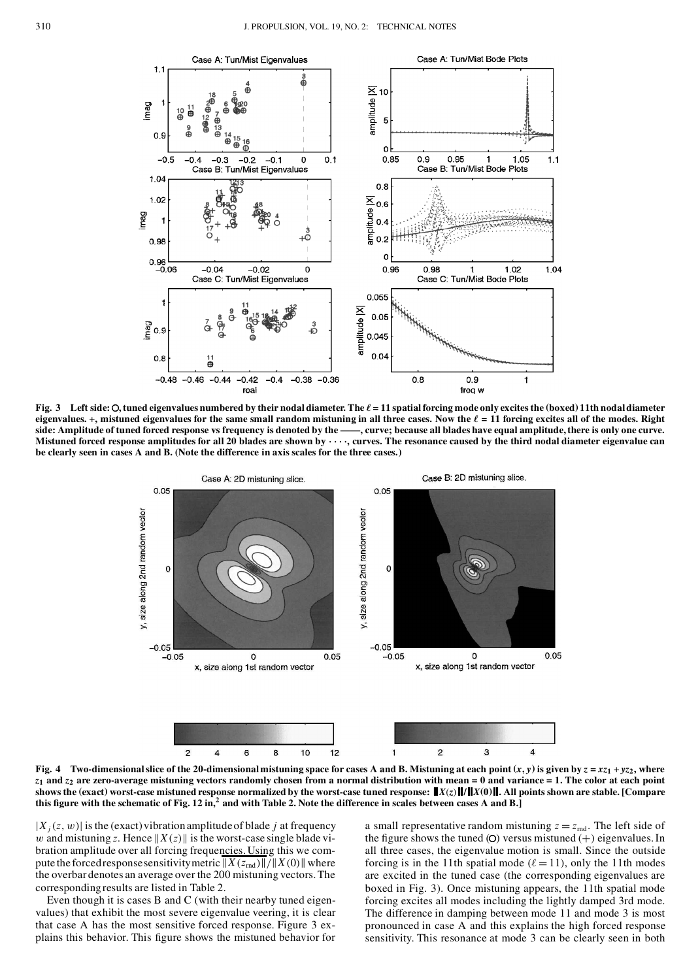

Fig. 3 Left side: O, tuned eigenvalues numbered by their nodal diameter. The  $\ell = 11$  spatial forcing mode only excites the (boxed) 11th nodal diameter eigenvalues. +, mistuned eigenvalues for the same small random mistuning in all three cases. Now the  $\ell = 11$  forcing excites all of the modes. Right side: Amplitude of tuned forced response vs frequency is denoted by the ——, curve; because all blades have equal amplitude, there is only one curve. Mistuned forced response amplitudes for all 20 blades are shown by  $\cdots$  , curves. The resonance caused by the third nodal diameter eigenvalue can **be clearly seen in cases A and B. (Note the difference in axis scales for the three cases.)**



Fig. 4 Two-dimensional slice of the 20-dimensional mistuning space for cases A and B. Mistuning at each point  $(x, y)$  is given by  $z = xz_1 + yz_2$ , where  $z_1$  and  $z_2$  are zero-average mistuning vectors randomly chosen from a normal distribution with mean = 0 and variance = 1. The color at each point shows the (exact) worst-case mistuned response normalized by the worst-case tuned response:  $||X(z)||/||X(0)||$ . All points shown are stable. [Compare this figure with the schematic of Fig. 12 in,<sup>2</sup> and with Table 2. Note the difference in scales between cases A and B.]

 $|X_j(z, w)|$  is the (exact) vibration amplitude of blade *j* at frequency w and mistuning *z*. Hence  $||X(z)||$  is the worst-case single blade vibration amplitude over all forcing frequencies.Using this we com pute the forced response sensitivity metric  $||X(z_{\text{rnd}})||/||X(0)||$  where the overbar denotes an average over the 200 mistuning vectors.The correspondingresults are listed in Table 2.

Even though it is cases B and C (with their nearby tuned eigenvalues) that exhibit the most severe eigenvalue veering, it is clear that case A has the most sensitive forced response. Figure 3 ex plains this behavior. This figure shows the mistuned behavior for

a small representative random mistuning  $z = z_{\text{md}}$ . The left side of the figure shows the tuned (O) versus mistuned  $(+)$  eigenvalues. In all three cases, the eigenvalue motion is small. Since the outside forcing is in the 11th spatial mode ( $\ell = 11$ ), only the 11th modes are excited in the tuned case (the corresponding eigenvalues are boxed in Fig. 3). Once mistuning appears, the 11th spatial mode forcing excites all modes including the lightly damped 3rd mode. The difference in damping between mode 11 and mode 3 is most pronounced in case A and this explains the high forced response sensitivity. This resonance at mode 3 can be clearly seen in both